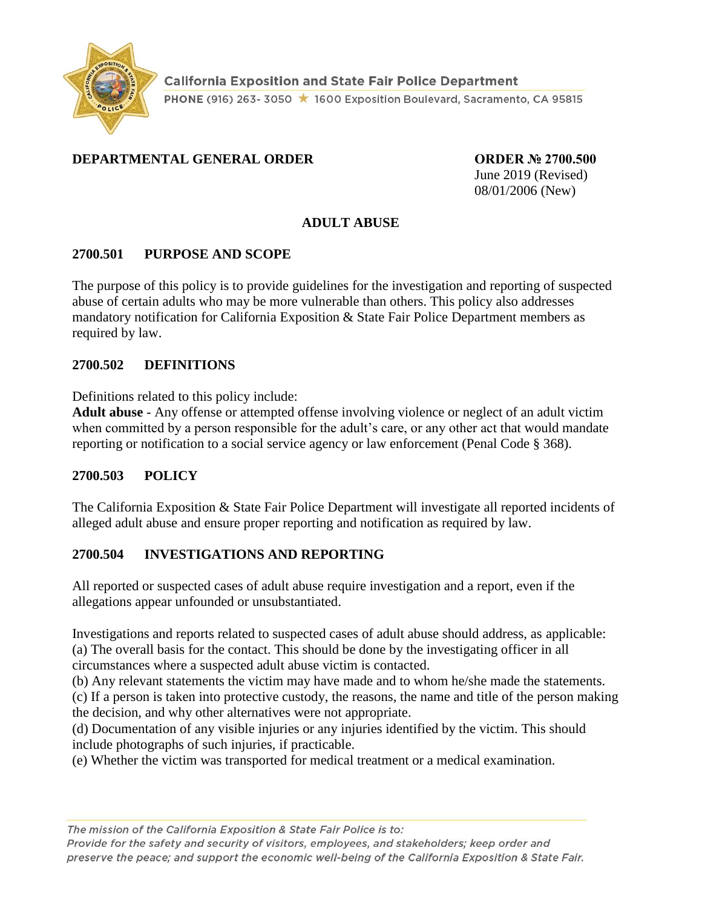

## **DEPARTMENTAL GENERAL ORDER ORDER № 2700.500**

June 2019 (Revised) 08/01/2006 (New)

#### **ADULT ABUSE**

#### **2700.501 PURPOSE AND SCOPE**

The purpose of this policy is to provide guidelines for the investigation and reporting of suspected abuse of certain adults who may be more vulnerable than others. This policy also addresses mandatory notification for California Exposition & State Fair Police Department members as required by law.

#### **2700.502 DEFINITIONS**

Definitions related to this policy include:

**Adult abuse** - Any offense or attempted offense involving violence or neglect of an adult victim when committed by a person responsible for the adult's care, or any other act that would mandate reporting or notification to a social service agency or law enforcement (Penal Code § 368).

## **2700.503 POLICY**

The California Exposition & State Fair Police Department will investigate all reported incidents of alleged adult abuse and ensure proper reporting and notification as required by law.

## **2700.504 INVESTIGATIONS AND REPORTING**

All reported or suspected cases of adult abuse require investigation and a report, even if the allegations appear unfounded or unsubstantiated.

Investigations and reports related to suspected cases of adult abuse should address, as applicable: (a) The overall basis for the contact. This should be done by the investigating officer in all circumstances where a suspected adult abuse victim is contacted.

(b) Any relevant statements the victim may have made and to whom he/she made the statements.

(c) If a person is taken into protective custody, the reasons, the name and title of the person making the decision, and why other alternatives were not appropriate.

(d) Documentation of any visible injuries or any injuries identified by the victim. This should include photographs of such injuries, if practicable.

(e) Whether the victim was transported for medical treatment or a medical examination.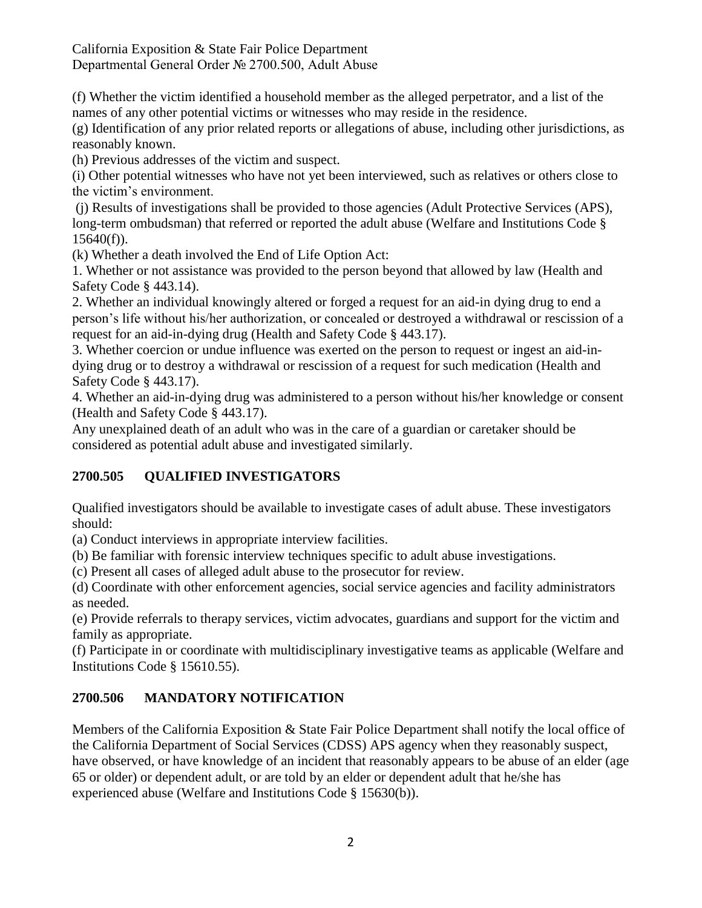(f) Whether the victim identified a household member as the alleged perpetrator, and a list of the names of any other potential victims or witnesses who may reside in the residence.

(g) Identification of any prior related reports or allegations of abuse, including other jurisdictions, as reasonably known.

(h) Previous addresses of the victim and suspect.

(i) Other potential witnesses who have not yet been interviewed, such as relatives or others close to the victim's environment.

(j) Results of investigations shall be provided to those agencies (Adult Protective Services (APS), long-term ombudsman) that referred or reported the adult abuse (Welfare and Institutions Code § 15640(f)).

(k) Whether a death involved the End of Life Option Act:

1. Whether or not assistance was provided to the person beyond that allowed by law (Health and Safety Code § 443.14).

2. Whether an individual knowingly altered or forged a request for an aid-in dying drug to end a person's life without his/her authorization, or concealed or destroyed a withdrawal or rescission of a request for an aid-in-dying drug (Health and Safety Code § 443.17).

3. Whether coercion or undue influence was exerted on the person to request or ingest an aid-indying drug or to destroy a withdrawal or rescission of a request for such medication (Health and Safety Code § 443.17).

4. Whether an aid-in-dying drug was administered to a person without his/her knowledge or consent (Health and Safety Code § 443.17).

Any unexplained death of an adult who was in the care of a guardian or caretaker should be considered as potential adult abuse and investigated similarly.

# **2700.505 QUALIFIED INVESTIGATORS**

Qualified investigators should be available to investigate cases of adult abuse. These investigators should:

(a) Conduct interviews in appropriate interview facilities.

(b) Be familiar with forensic interview techniques specific to adult abuse investigations.

(c) Present all cases of alleged adult abuse to the prosecutor for review.

(d) Coordinate with other enforcement agencies, social service agencies and facility administrators as needed.

(e) Provide referrals to therapy services, victim advocates, guardians and support for the victim and family as appropriate.

(f) Participate in or coordinate with multidisciplinary investigative teams as applicable (Welfare and Institutions Code § 15610.55).

# **2700.506 MANDATORY NOTIFICATION**

Members of the California Exposition & State Fair Police Department shall notify the local office of the California Department of Social Services (CDSS) APS agency when they reasonably suspect, have observed, or have knowledge of an incident that reasonably appears to be abuse of an elder (age 65 or older) or dependent adult, or are told by an elder or dependent adult that he/she has experienced abuse (Welfare and Institutions Code § 15630(b)).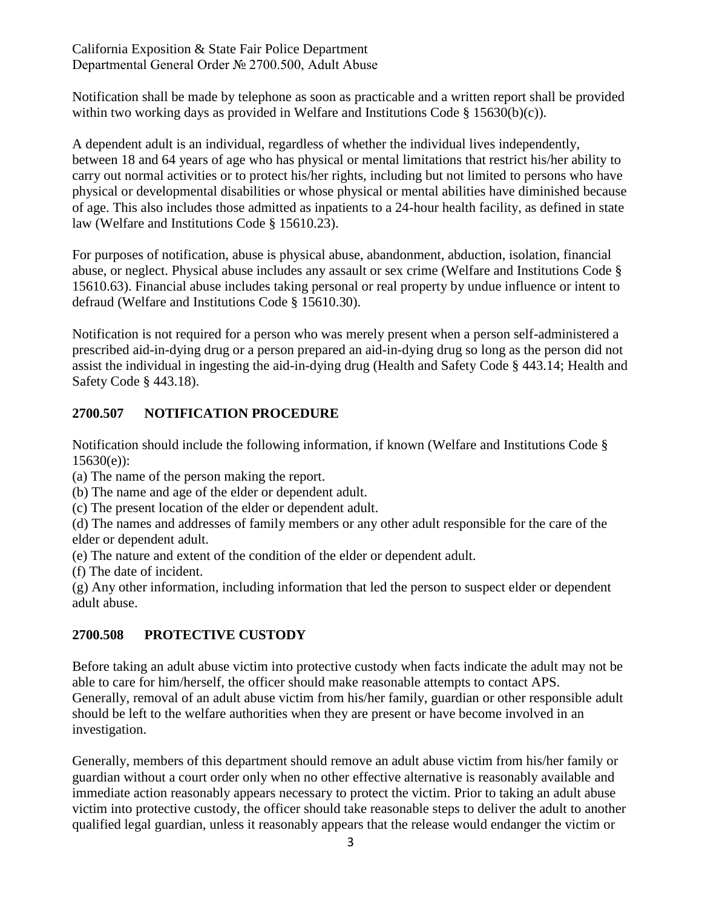Notification shall be made by telephone as soon as practicable and a written report shall be provided within two working days as provided in Welfare and Institutions Code § 15630(b)(c)).

A dependent adult is an individual, regardless of whether the individual lives independently, between 18 and 64 years of age who has physical or mental limitations that restrict his/her ability to carry out normal activities or to protect his/her rights, including but not limited to persons who have physical or developmental disabilities or whose physical or mental abilities have diminished because of age. This also includes those admitted as inpatients to a 24-hour health facility, as defined in state law (Welfare and Institutions Code § 15610.23).

For purposes of notification, abuse is physical abuse, abandonment, abduction, isolation, financial abuse, or neglect. Physical abuse includes any assault or sex crime (Welfare and Institutions Code § 15610.63). Financial abuse includes taking personal or real property by undue influence or intent to defraud (Welfare and Institutions Code § 15610.30).

Notification is not required for a person who was merely present when a person self-administered a prescribed aid-in-dying drug or a person prepared an aid-in-dying drug so long as the person did not assist the individual in ingesting the aid-in-dying drug (Health and Safety Code § 443.14; Health and Safety Code § 443.18).

## **2700.507 NOTIFICATION PROCEDURE**

Notification should include the following information, if known (Welfare and Institutions Code § 15630(e)):

(a) The name of the person making the report.

(b) The name and age of the elder or dependent adult.

(c) The present location of the elder or dependent adult.

(d) The names and addresses of family members or any other adult responsible for the care of the elder or dependent adult.

(e) The nature and extent of the condition of the elder or dependent adult.

(f) The date of incident.

(g) Any other information, including information that led the person to suspect elder or dependent adult abuse.

## **2700.508 PROTECTIVE CUSTODY**

Before taking an adult abuse victim into protective custody when facts indicate the adult may not be able to care for him/herself, the officer should make reasonable attempts to contact APS. Generally, removal of an adult abuse victim from his/her family, guardian or other responsible adult should be left to the welfare authorities when they are present or have become involved in an investigation.

Generally, members of this department should remove an adult abuse victim from his/her family or guardian without a court order only when no other effective alternative is reasonably available and immediate action reasonably appears necessary to protect the victim. Prior to taking an adult abuse victim into protective custody, the officer should take reasonable steps to deliver the adult to another qualified legal guardian, unless it reasonably appears that the release would endanger the victim or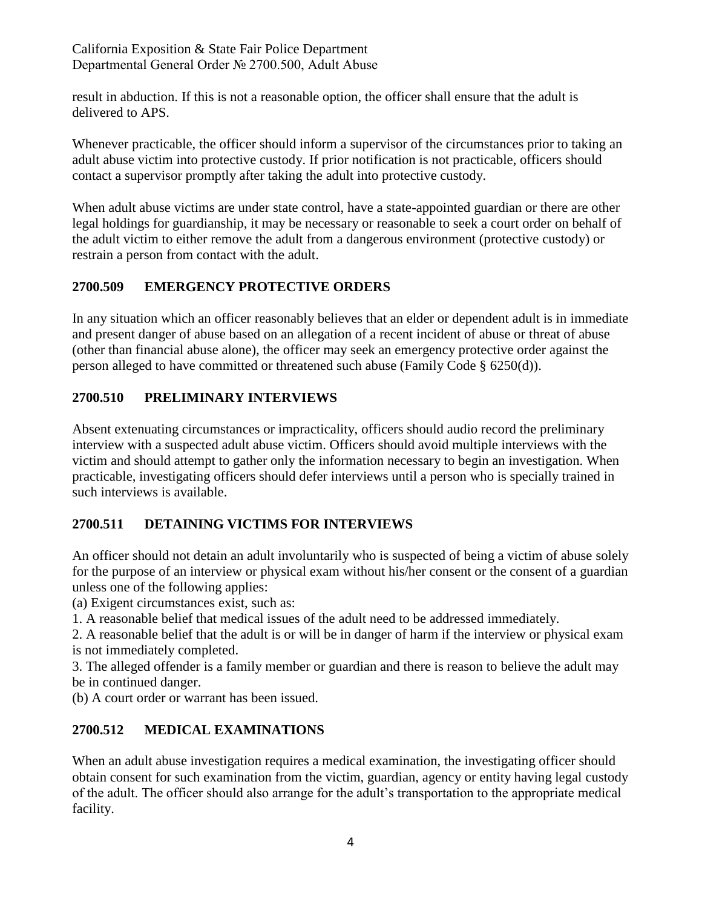result in abduction. If this is not a reasonable option, the officer shall ensure that the adult is delivered to APS.

Whenever practicable, the officer should inform a supervisor of the circumstances prior to taking an adult abuse victim into protective custody. If prior notification is not practicable, officers should contact a supervisor promptly after taking the adult into protective custody.

When adult abuse victims are under state control, have a state-appointed guardian or there are other legal holdings for guardianship, it may be necessary or reasonable to seek a court order on behalf of the adult victim to either remove the adult from a dangerous environment (protective custody) or restrain a person from contact with the adult.

## **2700.509 EMERGENCY PROTECTIVE ORDERS**

In any situation which an officer reasonably believes that an elder or dependent adult is in immediate and present danger of abuse based on an allegation of a recent incident of abuse or threat of abuse (other than financial abuse alone), the officer may seek an emergency protective order against the person alleged to have committed or threatened such abuse (Family Code § 6250(d)).

## **2700.510 PRELIMINARY INTERVIEWS**

Absent extenuating circumstances or impracticality, officers should audio record the preliminary interview with a suspected adult abuse victim. Officers should avoid multiple interviews with the victim and should attempt to gather only the information necessary to begin an investigation. When practicable, investigating officers should defer interviews until a person who is specially trained in such interviews is available.

## **2700.511 DETAINING VICTIMS FOR INTERVIEWS**

An officer should not detain an adult involuntarily who is suspected of being a victim of abuse solely for the purpose of an interview or physical exam without his/her consent or the consent of a guardian unless one of the following applies:

(a) Exigent circumstances exist, such as:

1. A reasonable belief that medical issues of the adult need to be addressed immediately.

2. A reasonable belief that the adult is or will be in danger of harm if the interview or physical exam is not immediately completed.

3. The alleged offender is a family member or guardian and there is reason to believe the adult may be in continued danger.

(b) A court order or warrant has been issued.

## **2700.512 MEDICAL EXAMINATIONS**

When an adult abuse investigation requires a medical examination, the investigating officer should obtain consent for such examination from the victim, guardian, agency or entity having legal custody of the adult. The officer should also arrange for the adult's transportation to the appropriate medical facility.